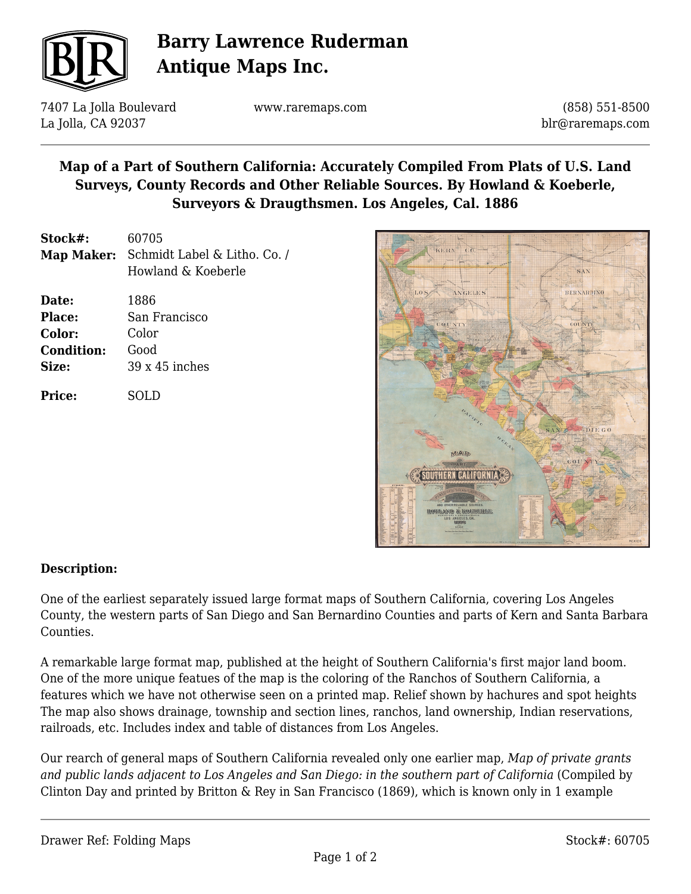

# **Barry Lawrence Ruderman Antique Maps Inc.**

7407 La Jolla Boulevard La Jolla, CA 92037

www.raremaps.com

(858) 551-8500 blr@raremaps.com

### **Map of a Part of Southern California: Accurately Compiled From Plats of U.S. Land Surveys, County Records and Other Reliable Sources. By Howland & Koeberle, Surveyors & Draugthsmen. Los Angeles, Cal. 1886**

| Stock#:           | 60705                        |
|-------------------|------------------------------|
| <b>Map Maker:</b> | Schmidt Label & Litho. Co. / |
|                   | Howland & Koeberle           |
| Date:             | 1886                         |
| Place:            | San Francisco                |
| Color:            | Color                        |
| <b>Condition:</b> | Good                         |
| Size:             | $39 \times 45$ inches        |
| Price:            | SOLD                         |



#### **Description:**

One of the earliest separately issued large format maps of Southern California, covering Los Angeles County, the western parts of San Diego and San Bernardino Counties and parts of Kern and Santa Barbara Counties.

A remarkable large format map, published at the height of Southern California's first major land boom. One of the more unique featues of the map is the coloring of the Ranchos of Southern California, a features which we have not otherwise seen on a printed map. Relief shown by hachures and spot heights The map also shows drainage, township and section lines, ranchos, land ownership, Indian reservations, railroads, etc. Includes index and table of distances from Los Angeles.

Our rearch of general maps of Southern California revealed only one earlier map, *Map of private grants* and public lands adjacent to Los Angeles and San Diego: in the southern part of California (Compiled by Clinton Day and printed by Britton & Rey in San Francisco (1869), which is known only in 1 example